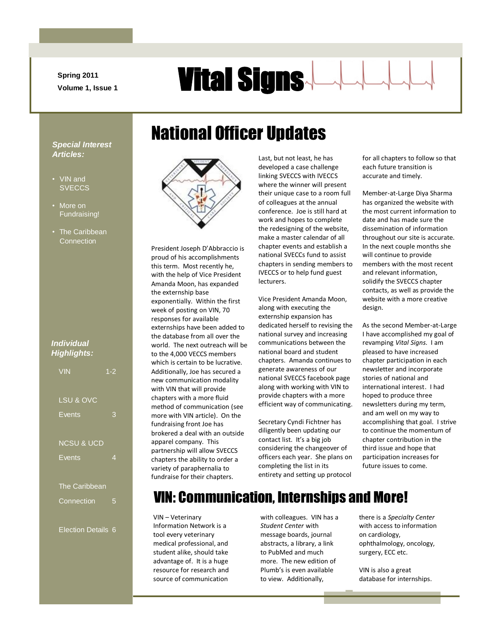**Spring 2011**

# **Spring 2011 Vital Signs**

#### *Special Interest Articles:*

- VIN and **SVECCS**
- More on Fundraising!
- The Caribbean **Connection**

#### *Individual Highlights:*

| <b>VIN</b>                | $1 - 2$ |
|---------------------------|---------|
| LSU & OVC                 |         |
| Events                    | 3       |
| <b>NCSU &amp; UCD</b>     |         |
| <b>Events</b>             | 4       |
| The Caribbean             |         |
| Connection                | 5       |
| <b>Election Details 6</b> |         |



National Officer Updates

President Joseph D'Abbraccio is proud of his accomplishments this term. Most recently he, with the help of Vice President Amanda Moon, has expanded the externship base exponentially. Within the first week of posting on VIN, 70 responses for available externships have been added to the database from all over the world. The next outreach will be to the 4,000 VECCS members which is certain to be lucrative. Additionally, Joe has secured a new communication modality with VIN that will provide chapters with a more fluid method of communication (see more with VIN article). On the fundraising front Joe has brokered a deal with an outside apparel company. This partnership will allow SVECCS chapters the ability to order a variety of paraphernalia to fundraise for their chapters.

Last, but not least, he has developed a case challenge linking SVECCS with IVECCS where the winner will present their unique case to a room full of colleagues at the annual conference. Joe is still hard at work and hopes to complete the redesigning of the website, make a master calendar of all chapter events and establish a national SVECCs fund to assist chapters in sending members to IVECCS or to help fund guest lecturers.

Vice President Amanda Moon, along with executing the externship expansion has dedicated herself to revising the national survey and increasing communications between the national board and student chapters. Amanda continues to generate awareness of our national SVECCS facebook page along with working with VIN to provide chapters with a more efficient way of communicating.

Secretary Cyndi Fichtner has diligently been updating our contact list. It's a big job considering the changeover of officers each year. She plans on completing the list in its entirety and setting up protocol for all chapters to follow so that each future transition is accurate and timely.

Member-at-Large Diya Sharma has organized the website with the most current information to date and has made sure the dissemination of information throughout our site is accurate. In the next couple months she will continue to provide members with the most recent and relevant information, solidify the SVECCS chapter contacts, as well as provide the website with a more creative design.

As the second Member-at-Large I have accomplished my goal of revamping *Vital Signs.* I am pleased to have increased chapter participation in each newsletter and incorporate stories of national and international interest. I had hoped to produce three newsletters during my term, and am well on my way to accomplishing that goal. I strive to continue the momentum of chapter contribution in the third issue and hope that participation increases for future issues to come.

### VIN: Communication, Internships and More!

VIN – Veterinary Information Network is a tool every veterinary medical professional, and student alike, should take advantage of. It is a huge resource for research and source of communication

with colleagues. VIN has a *Student Center* with message boards, journal abstracts, a library, a link to PubMed and much more. The new edition of Plumb's is even available to view. Additionally,

there is a *Specialty Center* with access to information on cardiology, ophthalmology, oncology, surgery, ECC etc.

VIN is also a great database for internships.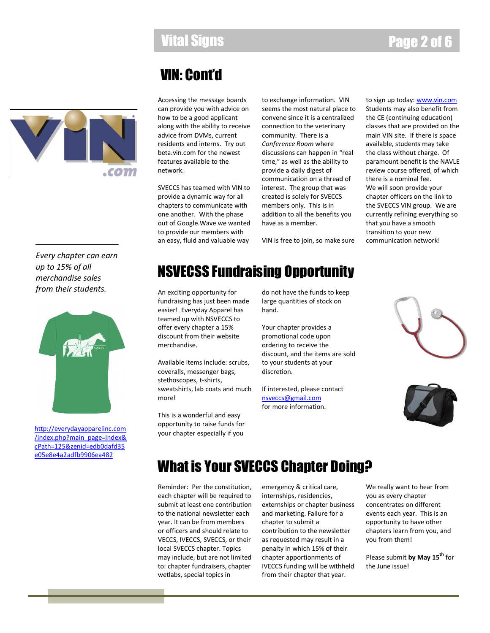### Vital Signs Page 2 of 6

### VIN: Cont'd

.com

Accessing the message boards can provide you with advice on how to be a good applicant along with the ability to receive advice from DVMs, current residents and interns. Try out beta.vin.com for the newest features available to the network.

SVECCS has teamed with VIN to provide a dynamic way for all chapters to communicate with one another. With the phase out of Google.Wave we wanted to provide our members with an easy, fluid and valuable way

to exchange information. VIN seems the most natural place to convene since it is a centralized connection to the veterinary community. There is a *Conference Room* where discussions can happen in "real time," as well as the ability to provide a daily digest of communication on a thread of interest. The group that was created is solely for SVECCS members only. This is in addition to all the benefits you have as a member.

VIN is free to join, so make sure

to sign up today: **www.vin.com** Students may also benefit from the CE (continuing education) classes that are provided on the main VIN site. If there is space available, students may take the class without charge. Of paramount benefit is the NAVLE review course offered, of which there is a nominal fee. We will soon provide your chapter officers on the link to the SVECCS VIN group. We are currently refining everything so that you have a smooth transition to your new communication network!

*Every chapter can earn up to 15% of all merchandise sales from their students.*



[http://everydayapparelinc.com](http://everydayapparelinc.com/index.php?main_page=index&cPath=125&zenid=edb0dafd35e05e8e4a2adfb9906ea482) [/index.php?main\\_page=index&](http://everydayapparelinc.com/index.php?main_page=index&cPath=125&zenid=edb0dafd35e05e8e4a2adfb9906ea482) [cPath=125&zenid=edb0dafd35](http://everydayapparelinc.com/index.php?main_page=index&cPath=125&zenid=edb0dafd35e05e8e4a2adfb9906ea482) [e05e8e4a2adfb9906ea482](http://everydayapparelinc.com/index.php?main_page=index&cPath=125&zenid=edb0dafd35e05e8e4a2adfb9906ea482)

### NSVECSS Fundraising Opportunity

An exciting opportunity for fundraising has just been made easier! Everyday Apparel has teamed up with NSVECCS to offer every chapter a 15% discount from their website merchandise.

Available items include: scrubs, coveralls, messenger bags, stethoscopes, t-shirts, sweatshirts, lab coats and much more!

This is a wonderful and easy opportunity to raise funds for your chapter especially if you

do not have the funds to keep large quantities of stock on hand.

Your chapter provides a promotional code upon ordering to receive the discount, and the items are sold to your students at your discretion.

If interested, please contact [nsveccs@gmail.com](mailto:nsveccs@gmail.com) for more information.





### What is Your SVECCS Chapter Doing?

Reminder: Per the constitution, each chapter will be required to submit at least one contribution to the national newsletter each year. It can be from members or officers and should relate to VECCS, IVECCS, SVECCS, or their local SVECCS chapter. Topics may include, but are not limited to: chapter fundraisers, chapter wetlabs, special topics in

emergency & critical care, internships, residencies, externships or chapter business and marketing. Failure for a chapter to submit a contribution to the newsletter as requested may result in a penalty in which 15% of their chapter apportionments of IVECCS funding will be withheld from their chapter that year.

We really want to hear from you as every chapter concentrates on different events each year. This is an opportunity to have other chapters learn from you, and you from them!

Please submit **by May 15th** for the June issue!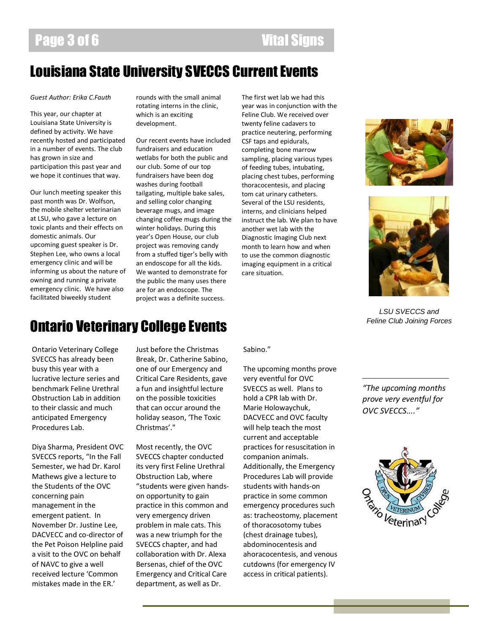### Page 3 of 6 Vital Signs

### Louisiana State University SVECCS Current Events

*Guest Author: Erika C.Fauth*

This year, our chapter at Louisiana State University is defined by activity. We have recently hosted and participated in a number of events. The club has grown in size and participation this past year and we hope it continues that way.

Our lunch meeting speaker this past month was Dr. Wolfson, the mobile shelter veterinarian at LSU, who gave a lecture on toxic plants and their effects on domestic animals. Our upcoming guest speaker is Dr. Stephen Lee, who owns a local emergency clinic and will be informing us about the nature of owning and running a private emergency clinic. We have also facilitated biweekly student

rounds with the small animal rotating interns in the clinic, which is an exciting development.

Our recent events have included fundraisers and education wetlabs for both the public and our club. Some of our top fundraisers have been dog washes during football tailgating, multiple bake sales, and selling color changing beverage mugs, and image changing coffee mugs during the winter holidays. During this year's Open House, our club project was removing candy from a stuffed tiger's belly with an endoscope for all the kids. We wanted to demonstrate for the public the many uses there are for an endoscope. The project was a definite success.

The first wet lab we had this year was in conjunction with the Feline Club. We received over twenty feline cadavers to practice neutering, performing CSF taps and epidurals, completing bone marrow sampling, placing various types of feeding tubes, intubating, placing chest tubes, performing thoracocentesis, and placing tom cat urinary catheters. Several of the LSU residents, interns, and clinicians helped instruct the lab. We plan to have another wet lab with the Diagnostic Imaging Club next month to learn how and when to use the common diagnostic imaging equipment in a critical care situation.





*LSU SVECCS and Feline Club Joining Forces*

### Ontario Veterinary College Events

Ontario Veterinary College SVECCS has already been busy this year with a lucrative lecture series and benchmark Feline Urethral Obstruction Lab in addition to their classic and much anticipated Emergency Procedures Lab.

Diya Sharma, President OVC SVECCS reports, "In the Fall Semester, we had Dr. Karol Mathews give a lecture to the Students of the OVC concerning pain management in the emergent patient. In November Dr. Justine Lee, DACVECC and co-director of the Pet Poison Helpline paid a visit to the OVC on behalf of NAVC to give a well received lecture 'Common mistakes made in the ER.'

Just before the Christmas Break, Dr. Catherine Sabino, one of our Emergency and Critical Care Residents, gave a fun and insightful lecture on the possible toxicities that can occur around the holiday season, 'The Toxic Christmas'."

Most recently, the OVC SVECCS chapter conducted its very first Feline Urethral Obstruction Lab, where "students were given handson opportunity to gain practice in this common and very emergency driven problem in male cats. This was a new triumph for the SVECCS chapter, and had collaboration with Dr. Alexa Bersenas, chief of the OVC Emergency and Critical Care department, as well as Dr.

Sabino."

The upcoming months prove very eventful for OVC SVECCS as well. Plans to hold a CPR lab with Dr. Marie Holowaychuk, DACVECC and OVC faculty will help teach the most current and acceptable practices for resuscitation in companion animals. Additionally, the Emergency Procedures Lab will provide students with hands-on practice in some common emergency procedures such as: tracheostomy, placement of thoracosotomy tubes (chest drainage tubes), abdominocentesis and ahoracocentesis, and venous cutdowns (for emergency IV access in critical patients).

*"The upcoming months prove very eventful for OVC SVECCS...."*

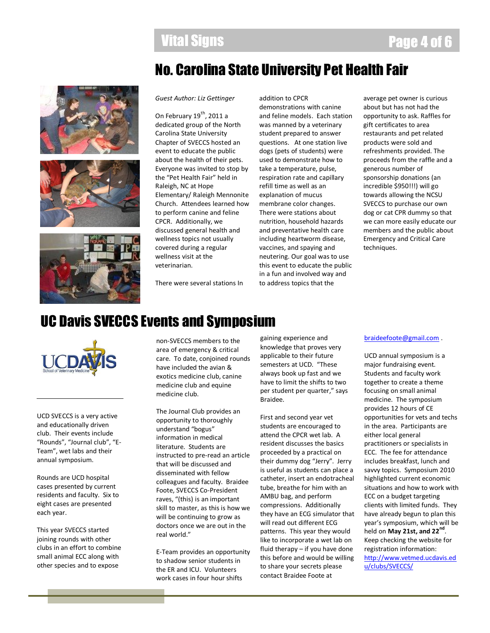### Vital Signs Page 4 of 6

### No. Carolina State University Pet Health Fair







#### *Guest Author: Liz Gettinger*

On February  $19^{th}$ , 2011 a dedicated group of the North Carolina State University Chapter of SVECCS hosted an event to educate the public about the health of their pets. Everyone was invited to stop by the "Pet Health Fair" held in Raleigh, NC at Hope Elementary/ Raleigh Mennonite Church. Attendees learned how to perform canine and feline CPCR. Additionally, we discussed general health and wellness topics not usually covered during a regular wellness visit at the veterinarian.

There were several stations In

addition to CPCR demonstrations with canine and feline models. Each station was manned by a veterinary student prepared to answer questions. At one station live dogs (pets of students) were used to demonstrate how to take a temperature, pulse, respiration rate and capillary refill time as well as an explanation of mucus membrane color changes. There were stations about nutrition, household hazards and preventative health care including heartworm disease, vaccines, and spaying and neutering. Our goal was to use this event to educate the public in a fun and involved way and to address topics that the

average pet owner is curious about but has not had the opportunity to ask. Raffles for gift certificates to area restaurants and pet related products were sold and refreshments provided. The proceeds from the raffle and a generous number of sponsorship donations (an incredible \$950!!!) will go towards allowing the NCSU SVECCS to purchase our own dog or cat CPR dummy so that we can more easily educate our members and the public about Emergency and Critical Care techniques.

### UC Davis SVECCS Events and Symposium



UCD SVECCS is a very active and educationally driven club. Their events include "Rounds", "Journal club", "E-Team", wet labs and their annual symposium.

Rounds are UCD hospital cases presented by current residents and faculty. Six to eight cases are presented each year.

This year SVECCS started joining rounds with other clubs in an effort to combine small animal ECC along with other species and to expose

non-SVECCS members to the area of emergency & critical care. To date, conjoined rounds have included the avian & exotics medicine club, canine medicine club and equine medicine club.

The Journal Club provides an opportunity to thoroughly understand "bogus" information in medical literature. Students are instructed to pre-read an article that will be discussed and disseminated with fellow colleagues and faculty. Braidee Foote, SVECCS Co-President raves, "(this) is an important skill to master, as this is how we will be continuing to grow as doctors once we are out in the real world."

E-Team provides an opportunity to shadow senior students in the ER and ICU. Volunteers work cases in four hour shifts

gaining experience and knowledge that proves very applicable to their future semesters at UCD. "These always book up fast and we have to limit the shifts to two per student per quarter," says Braidee.

First and second year vet students are encouraged to attend the CPCR wet lab. A resident discusses the basics proceeded by a practical on their dummy dog "Jerry". Jerry is useful as students can place a catheter, insert an endotracheal tube, breathe for him with an AMBU bag, and perform compressions. Additionally they have an ECG simulator that will read out different ECG patterns. This year they would like to incorporate a wet lab on fluid therapy – if you have done this before and would be willing to share your secrets please contact Braidee Foote at

#### [braideefoote@gmail.com](mailto:braideefoote@gmail.com) .

UCD annual symposium is a major fundraising event. Students and faculty work together to create a theme focusing on small animal medicine. The symposium provides 12 hours of CE opportunities for vets and techs in the area. Participants are either local general practitioners or specialists in ECC. The fee for attendance includes breakfast, lunch and savvy topics. Symposium 2010 highlighted current economic situations and how to work with ECC on a budget targeting clients with limited funds. They have already begun to plan this year's symposium, which will be held on **May 21st, and 22nd** . Keep checking the website for registration information: [http://www.vetmed.ucdavis.ed](http://www.vetmed.ucdavis.edu/clubs/SVECCS/) [u/clubs/SVECCS/](http://www.vetmed.ucdavis.edu/clubs/SVECCS/)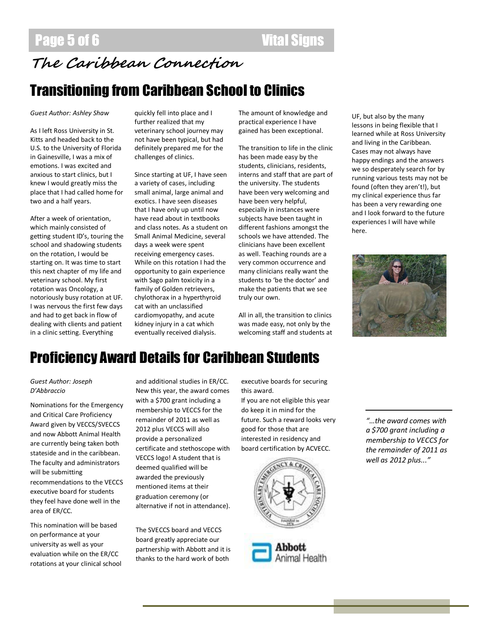### Page 5 of 6 Vital Signs

### **The Caribbean Connection**

### Transitioning from Caribbean School to Clinics

#### *Guest Author: Ashley Shaw*

As I left Ross University in St. Kitts and headed back to the U.S. to the University of Florida in Gainesville, I was a mix of emotions. I was excited and anxious to start clinics, but I knew I would greatly miss the place that I had called home for two and a half years.

After a week of orientation, which mainly consisted of getting student ID's, touring the school and shadowing students on the rotation, I would be starting on. It was time to start this next chapter of my life and veterinary school. My first rotation was Oncology, a notoriously busy rotation at UF. I was nervous the first few days and had to get back in flow of dealing with clients and patient in a clinic setting. Everything

quickly fell into place and I further realized that my veterinary school journey may not have been typical, but had definitely prepared me for the challenges of clinics.

Since starting at UF, I have seen a variety of cases, including small animal, large animal and exotics. I have seen diseases that I have only up until now have read about in textbooks and class notes. As a student on Small Animal Medicine, several days a week were spent receiving emergency cases. While on this rotation I had the opportunity to gain experience with Sago palm toxicity in a family of Golden retrievers, chylothorax in a hyperthyroid cat with an unclassified cardiomyopathy, and acute kidney injury in a cat which eventually received dialysis.

The amount of knowledge and practical experience I have gained has been exceptional.

The transition to life in the clinic has been made easy by the students, clinicians, residents, interns and staff that are part of the university. The students have been very welcoming and have been very helpful, especially in instances were subjects have been taught in different fashions amongst the schools we have attended. The clinicians have been excellent as well. Teaching rounds are a very common occurrence and many clinicians really want the students to 'be the doctor' and make the patients that we see truly our own.

All in all, the transition to clinics was made easy, not only by the welcoming staff and students at

UF, but also by the many lessons in being flexible that I learned while at Ross University and living in the Caribbean. Cases may not always have happy endings and the answers we so desperately search for by running various tests may not be found (often they aren't!), but my clinical experience thus far has been a very rewarding one and I look forward to the future experiences I will have while here.



### Proficiency Award Details for Caribbean Students

#### *Guest Author: Joseph D'Abbraccio*

Nominations for the Emergency and Critical Care Proficiency Award given by VECCS/SVECCS and now Abbott Animal Health are currently being taken both stateside and in the caribbean. The faculty and administrators will be submitting recommendations to the VECCS executive board for students they feel have done well in the area of ER/CC.

This nomination will be based on performance at your university as well as your evaluation while on the ER/CC rotations at your clinical school and additional studies in ER/CC. New this year, the award comes with a \$700 grant including a membership to VECCS for the remainder of 2011 as well as 2012 plus VECCS will also provide a personalized certificate and stethoscope with VECCS logo! A student that is deemed qualified will be awarded the previously mentioned items at their graduation ceremony (or alternative if not in attendance).

The SVECCS board and VECCS board greatly appreciate our partnership with Abbott and it is thanks to the hard work of both

executive boards for securing this award.

If you are not eligible this year do keep it in mind for the future. Such a reward looks very good for those that are interested in residency and board certification by ACVECC.





*"…the award comes with a \$700 grant including a membership to VECCS for the remainder of 2011 as well as 2012 plus..."*